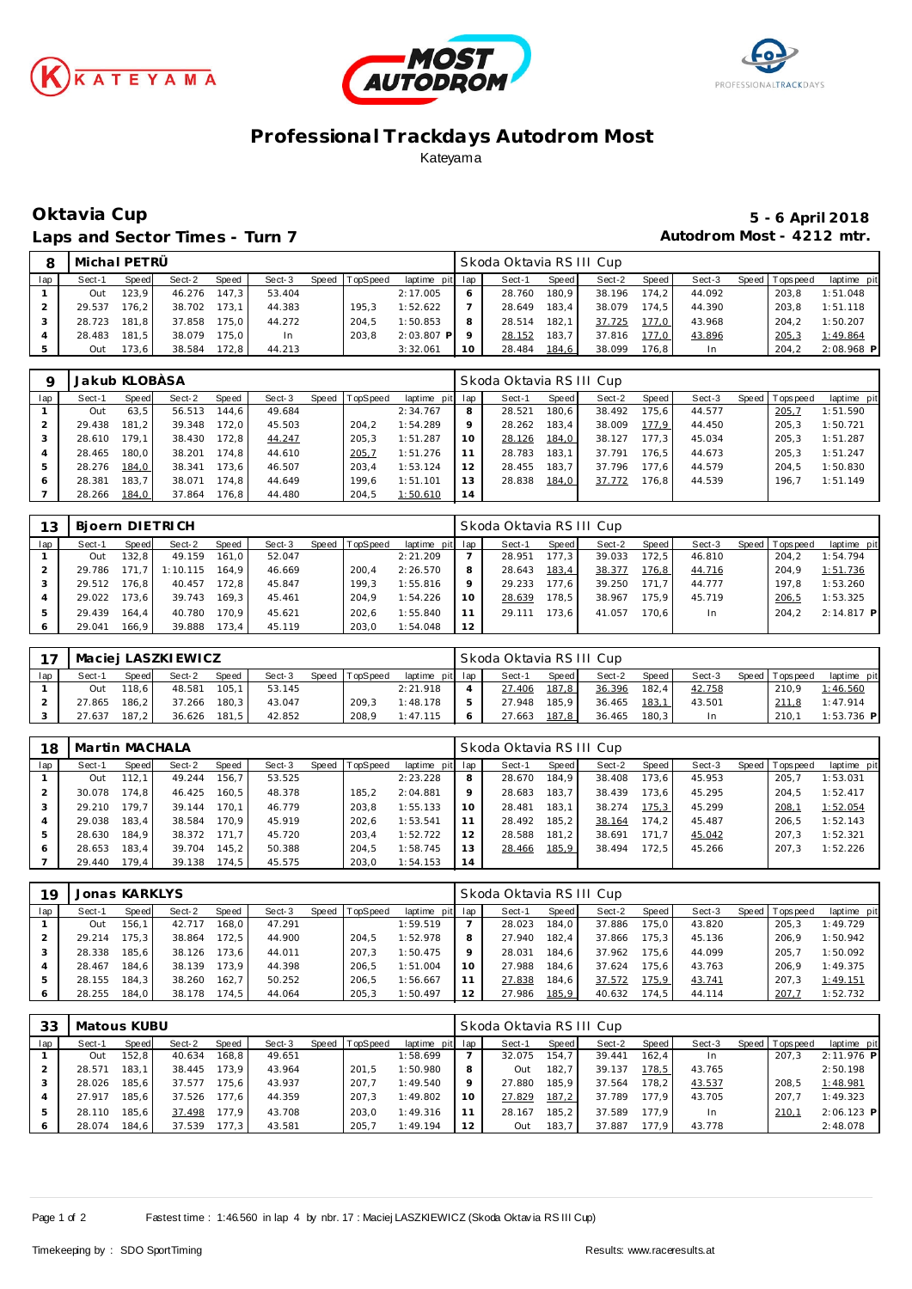





# **Professional Trackdays Autodrom Most** Kateyama

### **Oktavia Cup 5 - 6 April 2018** Laps and Sector Times - Turn 7 **Autodrom Most - 4212 mtr.**

| 8   | Michal PETRÜ |       |        |       |        |       |          |                 |           | Skoda Oktavia RS III Cup |       |        |         |        |                 |              |
|-----|--------------|-------|--------|-------|--------|-------|----------|-----------------|-----------|--------------------------|-------|--------|---------|--------|-----------------|--------------|
| lap | Sect-1       | Speed | Sect-2 | Speed | Sect-3 | Speed | TopSpeed | laptime pit lap |           | Sect-1                   | Speed | Sect-2 | Speed I | Sect-3 | Speed Tops peed | laptime pit  |
|     | Out          | 123.9 | 46.276 | 147.3 | 53.404 |       |          | 2:17.005        |           | 28.760                   | 180.9 | 38.196 | 174.2   | 44.092 | 203.8           | 1:51.048     |
|     | 29.537       | 176.2 | 38.702 | 173.1 | 44.383 |       | 195.3    | 1:52.622        |           | 28.649                   | 183.4 | 38.079 | 174.5   | 44.390 | 203.8           | 1:51.118     |
|     | 28.723       | 181.8 | 37.858 | 175.0 | 44.272 |       | 204.5    | 1:50.853        | 8         | 28.514                   | 182.1 | 37.725 | 177.0   | 43.968 | 204.2           | 1:50.207     |
|     | 28.483       | 181.5 | 38.079 | 175.0 | In.    |       | 203.8    | $2:03.807$ P    | $\circ$   | 28.152                   | 183.7 | 37.816 | 177.0   | 43.896 | 205,3           | 1:49.864     |
|     | Out          | 173.6 | 38.584 | 172.8 | 44.213 |       |          | 3:32.061        | <b>10</b> | 28.484                   | 184,6 | 38.099 | 176.8   |        | 204.2           | $2:08.968$ P |

| O   | Jakub KLOBÀSA |       |        |       |        |                |                 |    | Skoda Oktavia RS III Cup |       |        |                    |        |                |             |
|-----|---------------|-------|--------|-------|--------|----------------|-----------------|----|--------------------------|-------|--------|--------------------|--------|----------------|-------------|
| lap | Sect-1        | Speed | Sect-2 | Speed | Sect-3 | Speed TopSpeed | laptime pit lap |    | Sect-1                   | Speed | Sect-2 | Speed              | Sect-3 | Speed Topspeed | laptime pit |
|     | Out           | 63.5  | 56.513 | 144.6 | 49.684 |                | 2:34.767        | 8  | 28.521                   | 180.6 | 38.492 | 175.6              | 44.577 | 205.7          | 1:51.590    |
|     | 29.438        | 181.2 | 39.348 | 172.0 | 45.503 | 204.2          | 1:54.289        | 9  | 28.262                   | 183.4 | 38.009 | 177.9              | 44.450 | 205.3          | 1:50.721    |
|     | 28.610        | 179.1 | 38.430 | 172.8 | 44.247 | 205.3          | 1:51.287        | 10 | 28.126                   | 184,0 | 38.127 | 177.3 <sub>1</sub> | 45.034 | 205.3          | 1:51.287    |
| 4   | 28.465        | 180.0 | 38.201 | 174.8 | 44.610 | 205,7          | 1:51.276        |    | 28.783                   | 183.1 | 37.791 | 176.5              | 44.673 | 205.3          | 1:51.247    |
| .5  | 28.276        | 184,0 | 38.341 | 173.6 | 46.507 | 203.4          | 1:53.124        | 12 | 28.455                   | 183.7 | 37.796 | 177.6              | 44.579 | 204.5          | 1:50.830    |
| O   | 28.381        | 183.7 | 38.071 | 174.8 | 44.649 | 199.6          | 1:51.101        | 13 | 28.838                   | 184,0 | 37.772 | 176.8              | 44.539 | 196.7          | 1:51.149    |
|     | 28.266        | 184,0 | 37.864 | 176.8 | 44.480 | 204.5          | 1:50.610        | 14 |                          |       |        |                    |        |                |             |

| 13  |        |       | Bioern DIETRICH |       |        |       |          |             |     | Skoda Oktavia RSIII Cup |       |        |       |        |                |              |
|-----|--------|-------|-----------------|-------|--------|-------|----------|-------------|-----|-------------------------|-------|--------|-------|--------|----------------|--------------|
| lap | Sect-1 | Speed | Sect-2          | Speed | Sect-3 | Speed | TopSpeed | laptime pit | lap | Sect-1                  | Speed | Sect-2 | Speed | Sect-3 | Speed Topspeed | laptime pit  |
|     | Out    | 132.8 | 49.159          | 161.0 | 52.047 |       |          | 2:21.209    |     | 28.951                  | 177.3 | 39.033 | 172.5 | 46.810 | 204.2          | 1:54.794     |
|     | 29.786 | 171.7 | 1:10.115        | 164.9 | 46.669 |       | 200.4    | 2:26.570    | 8   | 28.643                  | 183,4 | 38.377 | 176,8 | 44.716 | 204.9          | 1:51.736     |
|     | 29.512 | 176.8 | 40.457          | 172.8 | 45.847 |       | 199.3    | 1:55.816    | Q   | 29.233                  | 177.6 | 39.250 | 171.7 | 44.777 | 197.8          | 1:53.260     |
| 4   | 29.022 | 173.6 | 39.743          | 169.3 | 45.461 |       | 204.9    | 1:54.226    | 10  | 28.639                  | 178.5 | 38.967 | 175.9 | 45.719 | 206,5          | 1:53.325     |
|     | 29.439 | 164.4 | 40.780          | 170.9 | 45.621 |       | 202.6    | 1:55.840    |     | 29.111                  | 173.6 | 41.057 | 170.6 | In.    | 204.2          | $2:14.817$ P |
|     | 29.041 | 166.9 | 39.888          | 173.4 | 45.119 |       | 203.0    | 1:54.048    | 12  |                         |       |        |       |        |                |              |

|     |        |              | Maciej LASZKI EWICZ |              |        |       |          |                 | Skoda Oktavia RS III Cup |         |        |       |           |                   |              |
|-----|--------|--------------|---------------------|--------------|--------|-------|----------|-----------------|--------------------------|---------|--------|-------|-----------|-------------------|--------------|
| lap | Sect-1 | <b>Speed</b> | Sect-2              | <b>Speed</b> | Sect-3 | Speed | TopSpeed | laptime pit lap | Sect-1                   | Speed I | Sect-2 | Speed | Sect-3    | Speed   Tops peed | laptime pit  |
|     | Out    | 118.6 I      | 48.581              | 105.1        | 53.145 |       |          | 2:21.918        | 27.406                   | 187,8   | 36.396 | 182.4 | 42.758    | 210.9             | 1:46.560     |
|     | 27.865 | $186.2$      | 37.266              | 180.3        | 43.047 |       | 209.3    | 1:48.178        | 27.948                   | 185.9   | 36.465 | 183,1 | 43.501    | 211.8             | 1:47.914     |
|     | 27.637 | 187.2        | 36.626              | 181.5        | 42.852 |       | 208.9    | 1:47.115        | 27.663                   | 187.8   | 36.465 | 180.3 | <b>In</b> | 210.1             | $1:53.736$ P |

| 18  | Martin MACHALA |       |        |       |        |       |          |                 |    | Skoda Oktavia RS III Cup |       |        |       |        |                   |             |
|-----|----------------|-------|--------|-------|--------|-------|----------|-----------------|----|--------------------------|-------|--------|-------|--------|-------------------|-------------|
| lap | Sect-1         | Speed | Sect-2 | Speed | Sect-3 | Speed | TopSpeed | laptime pit lap |    | Sect-1                   | Speed | Sect-2 | Speed | Sect-3 | Speed   Tops peed | laptime pit |
|     | Out            | 112.1 | 49.244 | 156.7 | 53.525 |       |          | 2:23.228        | 8  | 28.670                   | 184.9 | 38.408 | 173.6 | 45.953 | 205.7             | 1:53.031    |
|     | 30.078         | 174.8 | 46.425 | 160.5 | 48.378 |       | 185.2    | 2:04.881        | Q  | 28.683                   | 183.7 | 38.439 | 173.6 | 45.295 | 204.5             | 1:52.417    |
|     | 29.210         | 179.7 | 39.144 | 170.1 | 46.779 |       | 203.8    | 1:55.133        | 10 | 28.481                   | 183.1 | 38.274 | 175,3 | 45.299 | 208,1             | 1:52.054    |
|     | 29.038         | 183.4 | 38.584 | 170.9 | 45.919 |       | 202.6    | 1:53.541        |    | 28.492                   | 185.2 | 38.164 | 174.2 | 45.487 | 206.5             | 1:52.143    |
|     | 28.630         | 184.9 | 38.372 | 171.7 | 45.720 |       | 203.4    | 1:52.722        |    | 28.588                   | 181.2 | 38.691 | 171.7 | 45.042 | 207.3             | 1:52.321    |
|     | 28.653         | 183.4 | 39.704 | 145.2 | 50.388 |       | 204.5    | 1:58.745        |    | 28.466                   | 185,9 | 38.494 | 172.5 | 45.266 | 207.3             | 1:52.226    |
|     | 29.440         | 179.4 | 39.138 | 174.5 | 45.575 |       | 203.0    | 1:54.153        | 14 |                          |       |        |       |        |                   |             |

| 19  | Jonas KARKLYS |       |        |                    |        |                |                 |    | Skoda Oktavia RS III Cup |       |        |        |        |                   |             |
|-----|---------------|-------|--------|--------------------|--------|----------------|-----------------|----|--------------------------|-------|--------|--------|--------|-------------------|-------------|
| lap | Sect-1        | Speed | Sect-2 | Speed              | Sect-3 | Speed TopSpeed | laptime pit lap |    | Sect-1                   | Speed | Sect-2 | Speed  | Sect-3 | Speed   Tops peed | laptime pit |
|     | Out           | 156.  | 42.717 | 168.0              | 47.291 |                | 1:59.519        |    | 28.023                   | 184.0 | 37.886 | 175.0  | 43.820 | 205.3             | 1:49.729    |
|     | 29.214        | 175.3 | 38.864 | 172.5              | 44.900 | 204.5          | 1:52.978        | 8  | 27.940                   | 182.4 | 37.866 | 175.3  | 45.136 | 206.9             | 1:50.942    |
|     | 28.338        | 185.6 | 38.126 | 173.6              | 44.011 | 207.3          | 1:50.475        |    | 28.031                   | 184.6 | 37.962 | 175.61 | 44.099 | 205.7             | 1:50.092    |
|     | 28.467        | 184.6 | 38.139 | 173.9              | 44.398 | 206.5          | 1:51.004        |    | 27.988                   | 184.6 | 37.624 | 175.6  | 43.763 | 206.9             | 1:49.375    |
|     | 28.155        | 184.3 | 38.260 | 162.7              | 50.252 | 206.5          | 1:56.667        |    | 27.838                   | 184,6 | 37.572 | 175,9  | 43.741 | 207.3             | 1:49.151    |
| 6   | 28.255        | 184.0 | 38.178 | 174.5 <sub>1</sub> | 44.064 | 205.3          | 1:50.497        | 12 | 27.986                   | 185,9 | 40.632 | 174.5  | 44.114 | 207.              | 1:52.732    |

| 33  | Matous KUBU |       |        |       |        |       |          |             |     | Skoda Oktavia RSIII Cup |       |        |       |        |                   |              |
|-----|-------------|-------|--------|-------|--------|-------|----------|-------------|-----|-------------------------|-------|--------|-------|--------|-------------------|--------------|
| lap | Sect-1      | Speed | Sect-2 | Speed | Sect-3 | Speed | TopSpeed | laptime pit | lap | $Sect-4$                | Speed | Sect-2 | Speed | Sect-3 | Speed   Tops peed | laptime pit  |
|     | Out         | 52.8  | 40.634 | 168.8 | 49.651 |       |          | 1:58.699    |     | 32.075                  | 154.7 | 39.441 | 162.4 | In.    | 207.3             | $2:11.976$ P |
|     | 28.571      | 183.  | 38.445 | 173.9 | 43.964 |       | 201.5    | 1:50.980    | 8   | Out                     | 182,7 | 39.137 | 178.5 | 43.765 |                   | 2:50.198     |
|     | 28.026      | 185.6 | 37.577 | 175.6 | 43.937 |       | 207.7    | 1:49.540    | Q   | 27.880                  | 185.9 | 37.564 | 178.2 | 43.537 | 208.5             | 1:48.981     |
|     | 27.917      | 185.6 | 37.526 | 177.6 | 44.359 |       | 207.3    | 1:49.802    | 10  | 27.829                  | 187,2 | 37.789 | 177.9 | 43.705 | 207.7             | 1:49.323     |
| 5   | 28.110      | 185.6 | 37.498 | 177.9 | 43.708 |       | 203.0    | 1:49.316    |     | 28.167                  | 185.2 | 37.589 | 177.9 | In.    | 210,1             | $2:06.123$ P |
|     | 28.074      | 184.6 | 37.539 | 177.3 | 43.581 |       | 205,     | 1:49.194    | 12  | Out                     | 183,7 | 37.887 | 177.9 | 43.778 |                   | 2:48.078     |